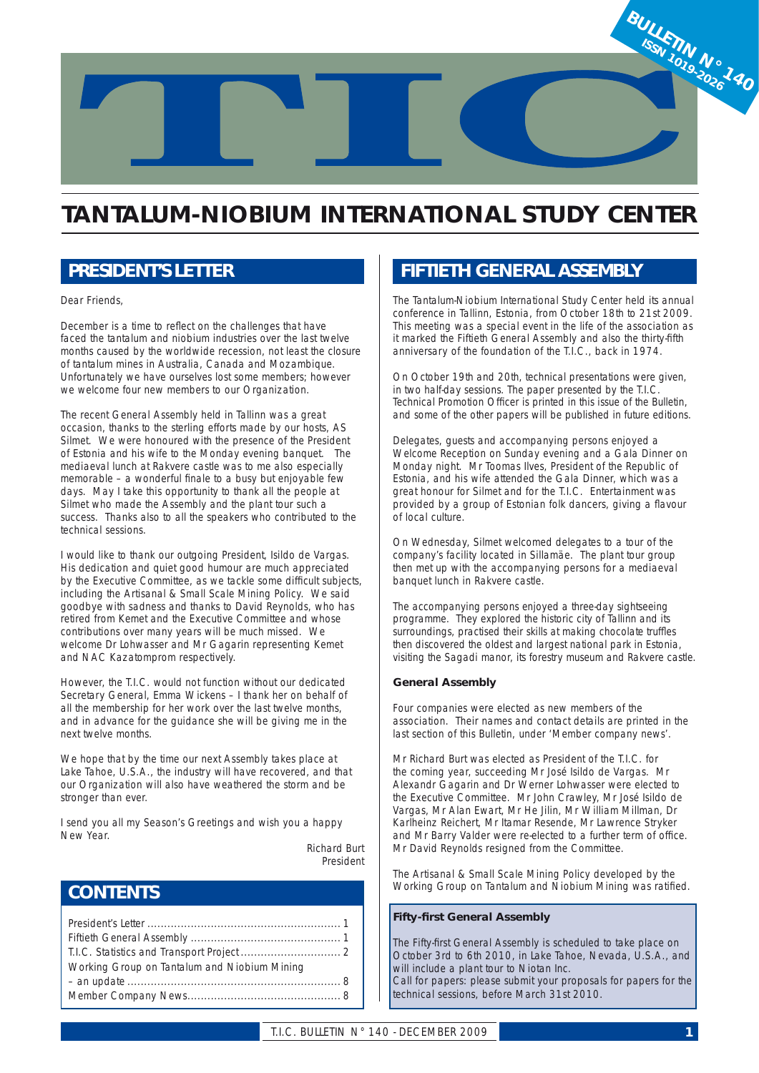

# **TANTALUM-NIOBIUM INTERNATIONAL STUDY CENTER**

## *PRESIDENT'S LETTER*

Dear Friends,

December is a time to reflect on the challenges that have faced the tantalum and niobium industries over the last twelve months caused by the worldwide recession, not least the closure of tantalum mines in Australia, Canada and Mozambique. Unfortunately we have ourselves lost some members; however we welcome four new members to our Organization.

The recent General Assembly held in Tallinn was a great occasion, thanks to the sterling efforts made by our hosts, AS Silmet. We were honoured with the presence of the President of Estonia and his wife to the Monday evening banquet. The mediaeval lunch at Rakvere castle was to me also especially memorable – a wonderful finale to a busy but enjoyable few days. May I take this opportunity to thank all the people at Silmet who made the Assembly and the plant tour such a success. Thanks also to all the speakers who contributed to the technical sessions.

I would like to thank our outgoing President, Isildo de Vargas. His dedication and quiet good humour are much appreciated by the Executive Committee, as we tackle some difficult subjects, including the Artisanal & Small Scale Mining Policy. We said goodbye with sadness and thanks to David Reynolds, who has retired from Kemet and the Executive Committee and whose contributions over many years will be much missed. We welcome Dr Lohwasser and Mr Gagarin representing Kemet and NAC Kazatomprom respectively.

However, the T.I.C. would not function without our dedicated Secretary General, Emma Wickens – I thank her on behalf of all the membership for her work over the last twelve months, and in advance for the guidance she will be giving me in the next twelve months.

We hope that by the time our next Assembly takes place at Lake Tahoe, U.S.A., the industry will have recovered, and that our Organization will also have weathered the storm and be stronger than ever.

I send you all my Season's Greetings and wish you a happy New Year.

> Richard Burt President

## *CONTENTS*

| Working Group on Tantalum and Niobium Mining |
|----------------------------------------------|
|                                              |
|                                              |

## *FIFTIETH GENERAL ASSEMBLY*

The Tantalum-Niobium International Study Center held its annual conference in Tallinn, Estonia, from October 18th to 21st 2009. This meeting was a special event in the life of the association as it marked the Fiftieth General Assembly and also the thirty-fifth anniversary of the foundation of the T.I.C., back in 1974.

On October 19th and 20th, technical presentations were given, in two half-day sessions. The paper presented by the T.I.C. Technical Promotion Officer is printed in this issue of the Bulletin, and some of the other papers will be published in future editions.

Delegates, guests and accompanying persons enjoyed a Welcome Reception on Sunday evening and a Gala Dinner on Monday night. Mr Toomas Ilves, President of the Republic of Estonia, and his wife attended the Gala Dinner, which was a great honour for Silmet and for the T.I.C. Entertainment was provided by a group of Estonian folk dancers, giving a flavour of local culture.

On Wednesday, Silmet welcomed delegates to a tour of the company's facility located in Sillamäe. The plant tour group then met up with the accompanying persons for a mediaeval banquet lunch in Rakvere castle.

The accompanying persons enjoyed a three-day sightseeing programme. They explored the historic city of Tallinn and its surroundings, practised their skills at making chocolate truffles then discovered the oldest and largest national park in Estonia, visiting the Sagadi manor, its forestry museum and Rakvere castle.

### **General Assembly**

Four companies were elected as new members of the association. Their names and contact details are printed in the last section of this Bulletin, under 'Member company news'.

Mr Richard Burt was elected as President of the T.I.C. for the coming year, succeeding Mr José Isildo de Vargas. Mr Alexandr Gagarin and Dr Werner Lohwasser were elected to the Executive Committee. Mr John Crawley, Mr José Isildo de Vargas, Mr Alan Ewart, Mr He Jilin, Mr William Millman, Dr Karlheinz Reichert, Mr Itamar Resende, Mr Lawrence Stryker and Mr Barry Valder were re-elected to a further term of office. Mr David Reynolds resigned from the Committee.

The Artisanal & Small Scale Mining Policy developed by the Working Group on Tantalum and Niobium Mining was ratified.

### **Fifty-first General Assembly**

The Fifty-first General Assembly is scheduled to take place on October 3rd to 6th 2010, in Lake Tahoe, Nevada, U.S.A., and will include a plant tour to Niotan Inc.

Call for papers: please submit your proposals for papers for the technical sessions, before March 31st 2010.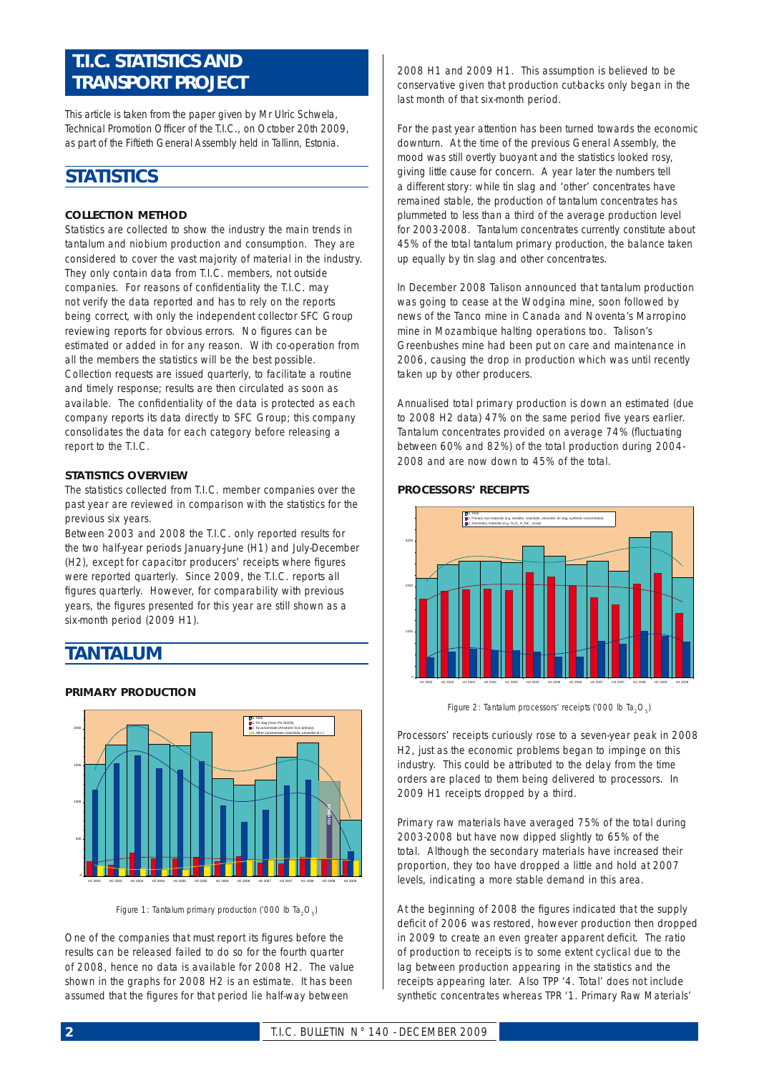## *T.I.C. STATISTICS AND TRANSPORT PROJECT*

*This article is taken from the paper given by Mr Ulric Schwela,*  Technical Promotion Officer of the T.I.C., on October 20th 2009, *as part of the Fiftieth General Assembly held in Tallinn, Estonia.*

## *STATISTICS*

## **COLLECTION METHOD**

Statistics are collected to show the industry the main trends in tantalum and niobium production and consumption. They are considered to cover the vast majority of material in the industry. They only contain data from T.I.C. members, not outside companies. For reasons of confidentiality the T.I.C. may not verify the data reported and has to rely on the reports being correct, with only the independent collector SFC Group reviewing reports for obvious errors. No figures can be estimated or added in for any reason. With co-operation from all the members the statistics will be the best possible. Collection requests are issued quarterly, to facilitate a routine and timely response; results are then circulated as soon as available. The confidentiality of the data is protected as each company reports its data directly to SFC Group; this company consolidates the data for each category before releasing a report to the T.I.C.

### **STATISTICS OVERVIEW**

The statistics collected from T.I.C. member companies over the past year are reviewed in comparison with the statistics for the previous six years.

Between 2003 and 2008 the T.I.C. only reported results for the two half-year periods January-June (H1) and July-December (H2), except for capacitor producers' receipts where figures were reported quarterly. Since 2009, the T.I.C. reports all figures quarterly. However, for comparability with previous years, the figures presented for this year are still shown as a six-month period (2009 H1).

## *TANTALUM*

## **PRIMARY PRODUCTION**



*Figure 1: Tantalum primary production ('000 lb Ta<sub>2</sub>O<sub>2</sub>)* 

One of the companies that must report its figures before the results can be released failed to do so for the fourth quarter of 2008, hence no data is available for 2008 H2. The value shown in the graphs for 2008 H2 is an estimate. It has been assumed that the figures for that period lie half-way between

2008 H1 and 2009 H1. This assumption is believed to be conservative given that production cut-backs only began in the last month of that six-month period.

For the past year attention has been turned towards the economic downturn. At the time of the previous General Assembly, the mood was still overtly buoyant and the statistics looked rosy, giving little cause for concern. A year later the numbers tell a different story: while tin slag and 'other' concentrates have remained stable, the production of tantalum concentrates has plummeted to less than a third of the average production level for 2003-2008. Tantalum concentrates currently constitute about 45% of the total tantalum primary production, the balance taken up equally by tin slag and other concentrates.

In December 2008 Talison announced that tantalum production was going to cease at the Wodgina mine, soon followed by news of the Tanco mine in Canada and Noventa's Marropino mine in Mozambique halting operations too. Talison's Greenbushes mine had been put on care and maintenance in 2006, causing the drop in production which was until recently taken up by other producers.

Annualised total primary production is down an estimated (due to 2008 H2 data) 47% on the same period five years earlier. Tantalum concentrates provided on average 74% (fluctuating between 60% and 82%) of the total production during 2004- 2008 and are now down to 45% of the total.



#### **PROCESSORS' RECEIPTS**

*Figure 2: Tantalum processors' receipts ('000 lb Ta<sub>2</sub>O<sub>5</sub>)* 

Processors' receipts curiously rose to a seven-year peak in 2008 H2, just as the economic problems began to impinge on this industry. This could be attributed to the delay from the time orders are placed to them being delivered to processors. In 2009 H1 receipts dropped by a third.

Primary raw materials have averaged 75% of the total during 2003-2008 but have now dipped slightly to 65% of the total. Although the secondary materials have increased their proportion, they too have dropped a little and hold at 2007 levels, indicating a more stable demand in this area.

At the beginning of 2008 the figures indicated that the supply deficit of 2006 was restored, however production then dropped in 2009 to create an even greater apparent deficit. The ratio of production to receipts is to some extent cyclical due to the lag between production appearing in the statistics and the receipts appearing later. Also TPP '4. Total' does not include synthetic concentrates whereas TPR '1. Primary Raw Materials'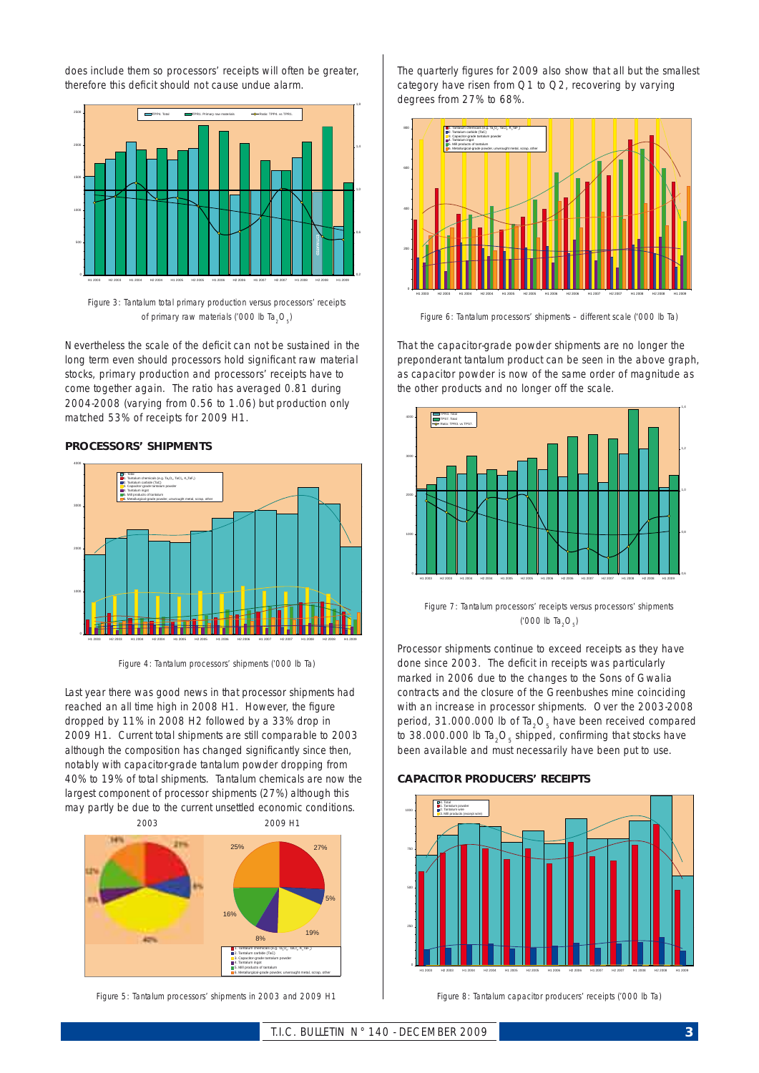does include them so processors' receipts will often be greater, therefore this deficit should not cause undue alarm.



*Figure 3: Tantalum total primary production versus processors' receipts of primary raw materials ('000 lb Ta<sub>2</sub>O<sub>5</sub>)* 

Nevertheless the scale of the deficit can not be sustained in the long term even should processors hold significant raw material stocks, primary production and processors' receipts have to come together again. The ratio has averaged 0.81 during 2004-2008 (varying from 0.56 to 1.06) but production only matched 53% of receipts for 2009 H1.

### **PROCESSORS' SHIPMENTS**



*Figure 4: Tantalum processors' shipments ('000 lb Ta)*

Last year there was good news in that processor shipments had reached an all time high in 2008 H1. However, the figure dropped by 11% in 2008 H2 followed by a 33% drop in 2009 H1. Current total shipments are still comparable to 2003 although the composition has changed significantly since then, notably with capacitor-grade tantalum powder dropping from 40% to 19% of total shipments. Tantalum chemicals are now the largest component of processor shipments (27%) although this may partly be due to the current unsettled economic conditions. 2003 2009 H1



*Figure 5: Tantalum processors' shipments in 2003 and 2009 H1*

The quarterly figures for 2009 also show that all but the smallest category have risen from Q1 to Q2, recovering by varying degrees from 27% to 68%.



*Figure 6: Tantalum processors' shipments – different scale ('000 lb Ta)*

That the capacitor-grade powder shipments are no longer the preponderant tantalum product can be seen in the above graph, as capacitor powder is now of the same order of magnitude as the other products and no longer off the scale.



*Figure 7: Tantalum processors' receipts versus processors' shipments ('000 lb Ta2O5)*

Processor shipments continue to exceed receipts as they have done since 2003. The deficit in receipts was particularly marked in 2006 due to the changes to the Sons of Gwalia contracts and the closure of the Greenbushes mine coinciding with an increase in processor shipments. Over the 2003-2008 period, 31.000.000 lb of  $Ta_2O_5$  have been received compared to 38.000.000 lb Ta<sub>2</sub>O<sub>5</sub> shipped, confirming that stocks have been available and must necessarily have been put to use.

### **CAPACITOR PRODUCERS' RECEIPTS**



*Figure 8: Tantalum capacitor producers' receipts ('000 lb Ta)*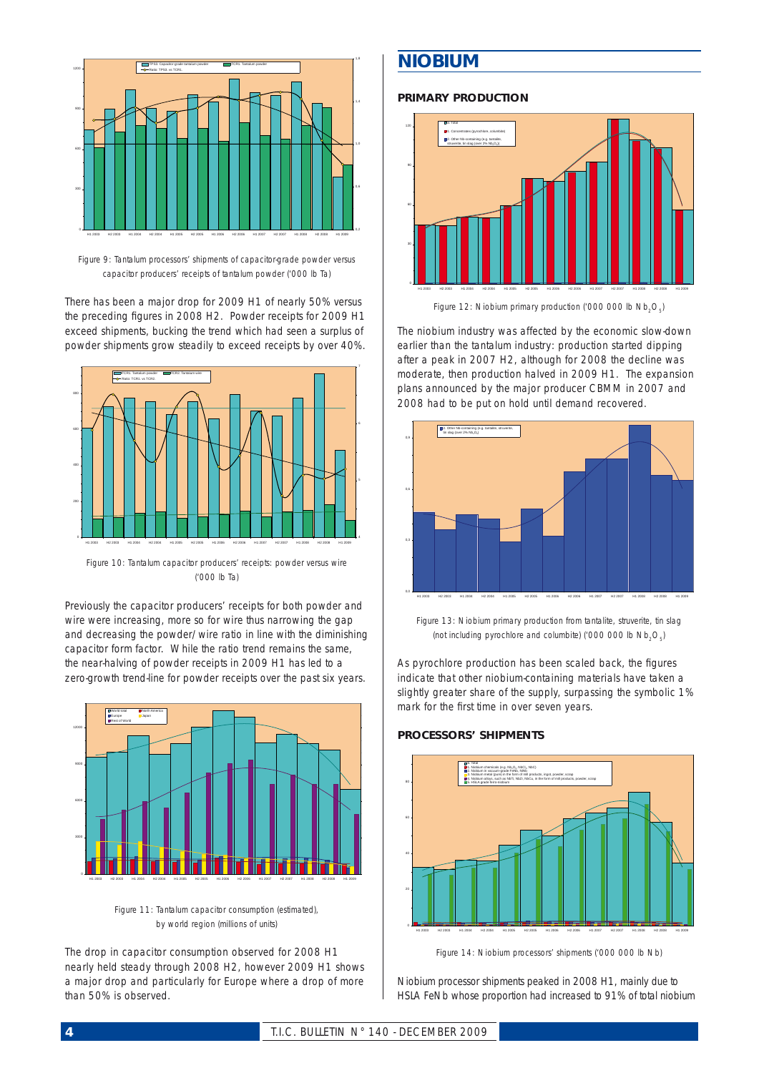

*Figure 9: Tantalum processors' shipments of capacitor-grade powder versus capacitor producers' receipts of tantalum powder ('000 lb Ta)*

There has been a major drop for 2009 H1 of nearly 50% versus the preceding figures in 2008 H2. Powder receipts for 2009 H1 exceed shipments, bucking the trend which had seen a surplus of powder shipments grow steadily to exceed receipts by over 40%.



*Figure 10: Tantalum capacitor producers' receipts: powder versus wire ('000 lb Ta)*

Previously the capacitor producers' receipts for both powder and wire were increasing, more so for wire thus narrowing the gap and decreasing the powder/wire ratio in line with the diminishing capacitor form factor. While the ratio trend remains the same, the near-halving of powder receipts in 2009 H1 has led to a zero-growth trend-line for powder receipts over the past six years.



*Figure 11: Tantalum capacitor consumption (estimated), by world region (millions of units)*

The drop in capacitor consumption observed for 2008 H1 nearly held steady through 2008 H2, however 2009 H1 shows a major drop and particularly for Europe where a drop of more than 50% is observed.

## *NIOBIUM*

## **PRIMARY PRODUCTION**



*Figure 12: Niobium primary production ('000 000 lb Nb<sub>2</sub>O<sub>c</sub>)* 

The niobium industry was affected by the economic slow-down earlier than the tantalum industry: production started dipping after a peak in 2007 H2, although for 2008 the decline was moderate, then production halved in 2009 H1. The expansion plans announced by the major producer CBMM in 2007 and 2008 had to be put on hold until demand recovered.



*Figure 13: Niobium primary production from tantalite, struverite, tin slag (not including pyrochlore and columbite) ('000 000 lb Nb<sub>2</sub>O<sub>5</sub>)* 

As pyrochlore production has been scaled back, the figures indicate that other niobium-containing materials have taken a slightly greater share of the supply, surpassing the symbolic 1% mark for the first time in over seven years.

## **PROCESSORS' SHIPMENTS**



*Figure 14: Niobium processors' shipments ('000 000 lb Nb)*

Niobium processor shipments peaked in 2008 H1, mainly due to HSLA FeNb whose proportion had increased to 91% of total niobium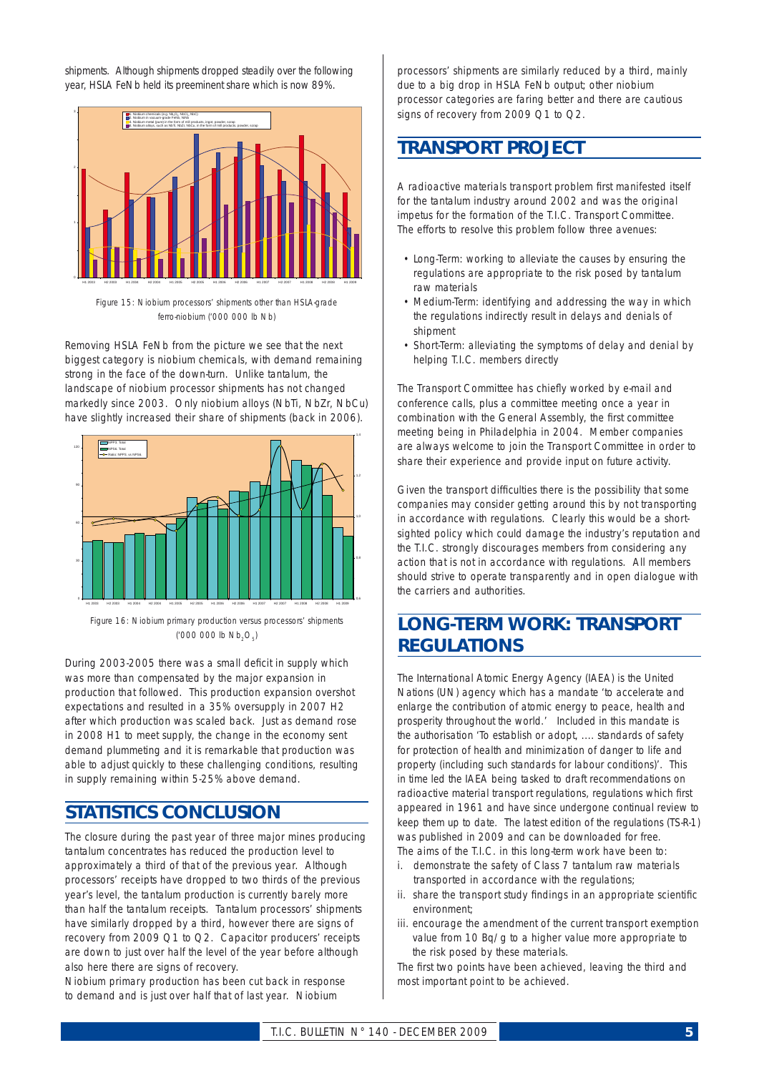shipments. Although shipments dropped steadily over the following year, HSLA FeNb held its preeminent share which is now 89%.



*Figure 15: Niobium processors' shipments other than HSLA-grade ferro-niobium ('000 000 lb Nb)*

Removing HSLA FeNb from the picture we see that the next biggest category is niobium chemicals, with demand remaining strong in the face of the down-turn. Unlike tantalum, the landscape of niobium processor shipments has not changed markedly since 2003. Only niobium alloys (NbTi, NbZr, NbCu) have slightly increased their share of shipments (back in 2006).



*Figure 16: Niobium primary production versus processors' shipments ('000 000 lb Nb2O5)*

During 2003-2005 there was a small deficit in supply which was more than compensated by the major expansion in production that followed. This production expansion overshot expectations and resulted in a 35% oversupply in 2007 H2 after which production was scaled back. Just as demand rose in 2008 H1 to meet supply, the change in the economy sent demand plummeting and it is remarkable that production was able to adjust quickly to these challenging conditions, resulting in supply remaining within 5-25% above demand.

## *STATISTICS CONCLUSION*

The closure during the past year of three major mines producing tantalum concentrates has reduced the production level to approximately a third of that of the previous year. Although processors' receipts have dropped to two thirds of the previous year's level, the tantalum production is currently barely more than half the tantalum receipts. Tantalum processors' shipments have similarly dropped by a third, however there are signs of recovery from 2009 Q1 to Q2. Capacitor producers' receipts are down to just over half the level of the year before although also here there are signs of recovery.

Niobium primary production has been cut back in response to demand and is just over half that of last year. Niobium

processors' shipments are similarly reduced by a third, mainly due to a big drop in HSLA FeNb output; other niobium processor categories are faring better and there are cautious signs of recovery from 2009 Q1 to Q2.

## *TRANSPORT PROJECT*

A radioactive materials transport problem first manifested itself for the tantalum industry around 2002 and was the original impetus for the formation of the T.I.C. Transport Committee. The efforts to resolve this problem follow three avenues:

- Long-Term: working to alleviate the causes by ensuring the regulations are appropriate to the risk posed by tantalum raw materials
- Medium-Term: identifying and addressing the way in which the regulations indirectly result in delays and denials of shipment
- Short-Term: alleviating the symptoms of delay and denial by helping T.I.C. members directly

The Transport Committee has chiefly worked by e-mail and conference calls, plus a committee meeting once a year in combination with the General Assembly, the first committee meeting being in Philadelphia in 2004. Member companies are always welcome to join the Transport Committee in order to share their experience and provide input on future activity.

Given the transport difficulties there is the possibility that some companies may consider getting around this by not transporting in accordance with regulations. Clearly this would be a shortsighted policy which could damage the industry's reputation and the T.I.C. strongly discourages members from considering any action that is not in accordance with regulations. All members should strive to operate transparently and in open dialogue with the carriers and authorities.

## *LONG-TERM WORK: TRANSPORT REGULATIONS*

The International Atomic Energy Agency (IAEA) is the United Nations (UN) agency which has a mandate 'to accelerate and enlarge the contribution of atomic energy to peace, health and prosperity throughout the world.' Included in this mandate is the authorisation 'To establish or adopt, .... standards of safety for protection of health and minimization of danger to life and property (including such standards for labour conditions)'. This in time led the IAEA being tasked to draft recommendations on radioactive material transport regulations, regulations which first appeared in 1961 and have since undergone continual review to keep them up to date. The latest edition of the regulations (TS-R-1) was published in 2009 and can be downloaded for free. The aims of the T.I.C. in this long-term work have been to:

- i. demonstrate the safety of Class 7 tantalum raw materials transported in accordance with the regulations;
- ii. share the transport study findings in an appropriate scientific environment;
- iii. encourage the amendment of the current transport exemption value from 10 Bq/g to a higher value more appropriate to the risk posed by these materials.

The first two points have been achieved, leaving the third and most important point to be achieved.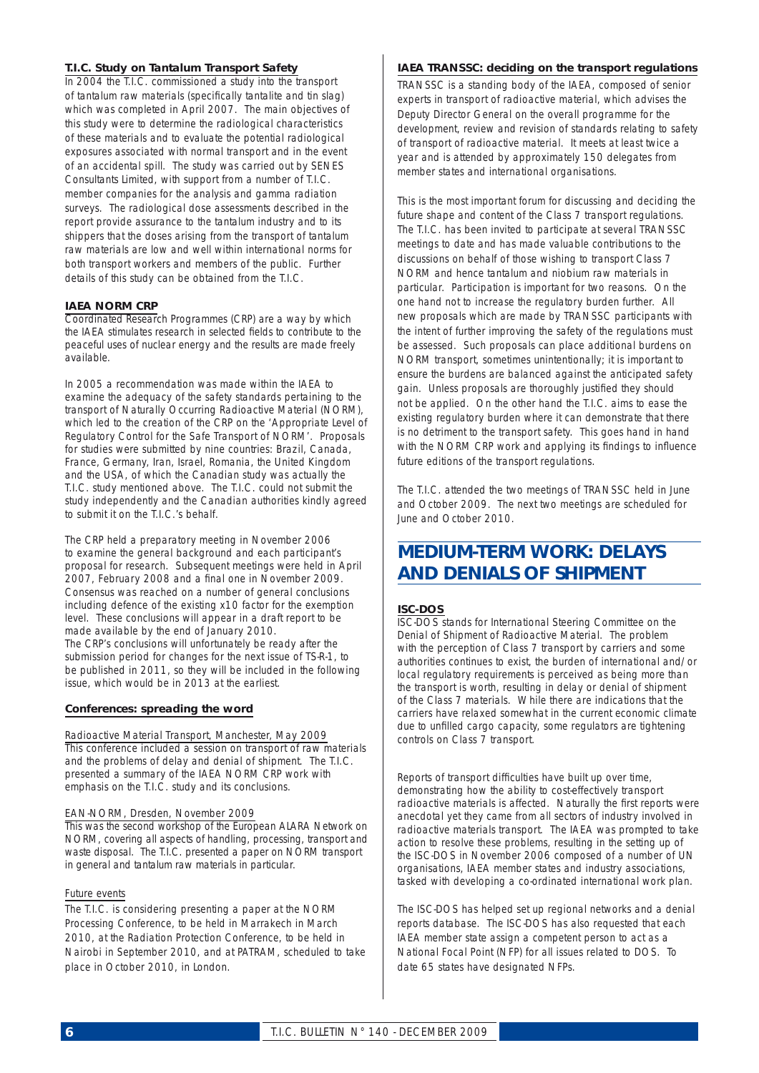### **T.I.C. Study on Tantalum Transport Safety**

In 2004 the T.I.C. commissioned a study into the transport of tantalum raw materials (specifically tantalite and tin slag) which was completed in April 2007. The main objectives of this study were to determine the radiological characteristics of these materials and to evaluate the potential radiological exposures associated with normal transport and in the event of an accidental spill. The study was carried out by SENES Consultants Limited, with support from a number of T.I.C. member companies for the analysis and gamma radiation surveys. The radiological dose assessments described in the report provide assurance to the tantalum industry and to its shippers that the doses arising from the transport of tantalum raw materials are low and well within international norms for both transport workers and members of the public. Further details of this study can be obtained from the T.I.C.

### **IAEA NORM CRP**

Coordinated Research Programmes (CRP) are a way by which the IAEA stimulates research in selected fields to contribute to the peaceful uses of nuclear energy and the results are made freely available.

In 2005 a recommendation was made within the IAEA to examine the adequacy of the safety standards pertaining to the transport of Naturally Occurring Radioactive Material (NORM), which led to the creation of the CRP on the 'Appropriate Level of Regulatory Control for the Safe Transport of NORM'. Proposals for studies were submitted by nine countries: Brazil, Canada, France, Germany, Iran, Israel, Romania, the United Kingdom and the USA, of which the Canadian study was actually the T.I.C. study mentioned above. The T.I.C. could not submit the study independently and the Canadian authorities kindly agreed to submit it on the T.I.C.'s behalf.

The CRP held a preparatory meeting in November 2006 to examine the general background and each participant's proposal for research. Subsequent meetings were held in April 2007, February 2008 and a final one in November 2009. Consensus was reached on a number of general conclusions including defence of the existing x10 factor for the exemption level. These conclusions will appear in a draft report to be made available by the end of January 2010. The CRP's conclusions will unfortunately be ready after the submission period for changes for the next issue of TS-R-1, to be published in 2011, so they will be included in the following issue, which would be in 2013 at the earliest.

### **Conferences: spreading the word**

#### *Radioactive Material Transport, Manchester, May 2009*

This conference included a session on transport of raw materials and the problems of delay and denial of shipment. The T.I.C. presented a summary of the IAEA NORM CRP work with emphasis on the T.I.C. study and its conclusions.

### *EAN-NORM, Dresden, November 2009*

This was the second workshop of the European ALARA Network on NORM, covering all aspects of handling, processing, transport and waste disposal. The T.I.C. presented a paper on NORM transport in general and tantalum raw materials in particular.

#### *Future events*

The T.I.C. is considering presenting a paper at the NORM Processing Conference, to be held in Marrakech in March 2010, at the Radiation Protection Conference, to be held in Nairobi in September 2010, and at PATRAM, scheduled to take place in October 2010, in London.

### **IAEA TRANSSC: deciding on the transport regulations**

TRANSSC is a standing body of the IAEA, composed of senior experts in transport of radioactive material, which advises the Deputy Director General on the overall programme for the development, review and revision of standards relating to safety of transport of radioactive material. It meets at least twice a year and is attended by approximately 150 delegates from member states and international organisations.

This is the most important forum for discussing and deciding the future shape and content of the Class 7 transport regulations. The T.I.C. has been invited to participate at several TRANSSC meetings to date and has made valuable contributions to the discussions on behalf of those wishing to transport Class 7 NORM and hence tantalum and niobium raw materials in particular. Participation is important for two reasons. On the one hand not to increase the regulatory burden further. All new proposals which are made by TRANSSC participants with the intent of further improving the safety of the regulations must be assessed. Such proposals can place additional burdens on NORM transport, sometimes unintentionally; it is important to ensure the burdens are balanced against the anticipated safety gain. Unless proposals are thoroughly justified they should not be applied. On the other hand the T.I.C. aims to ease the existing regulatory burden where it can demonstrate that there is no detriment to the transport safety. This goes hand in hand with the NORM CRP work and applying its findings to influence future editions of the transport regulations.

The T.I.C. attended the two meetings of TRANSSC held in June and October 2009. The next two meetings are scheduled for June and October 2010.

## *MEDIUM-TERM WORK: DELAYS AND DENIALS OF SHIPMENT*

### **ISC-DOS**

ISC-DOS stands for International Steering Committee on the Denial of Shipment of Radioactive Material. The problem with the perception of Class 7 transport by carriers and some authorities continues to exist, the burden of international and/or local regulatory requirements is perceived as being more than the transport is worth, resulting in delay or denial of shipment of the Class 7 materials. While there are indications that the carriers have relaxed somewhat in the current economic climate due to unfilled cargo capacity, some regulators are tightening controls on Class 7 transport.

Reports of transport difficulties have built up over time. demonstrating how the ability to cost-effectively transport radioactive materials is affected. Naturally the first reports were anecdotal yet they came from all sectors of industry involved in radioactive materials transport. The IAEA was prompted to take action to resolve these problems, resulting in the setting up of the ISC-DOS in November 2006 composed of a number of UN organisations, IAEA member states and industry associations, tasked with developing a co-ordinated international work plan.

The ISC-DOS has helped set up regional networks and a denial reports database. The ISC-DOS has also requested that each IAEA member state assign a competent person to act as a National Focal Point (NFP) for all issues related to DOS. To date 65 states have designated NFPs.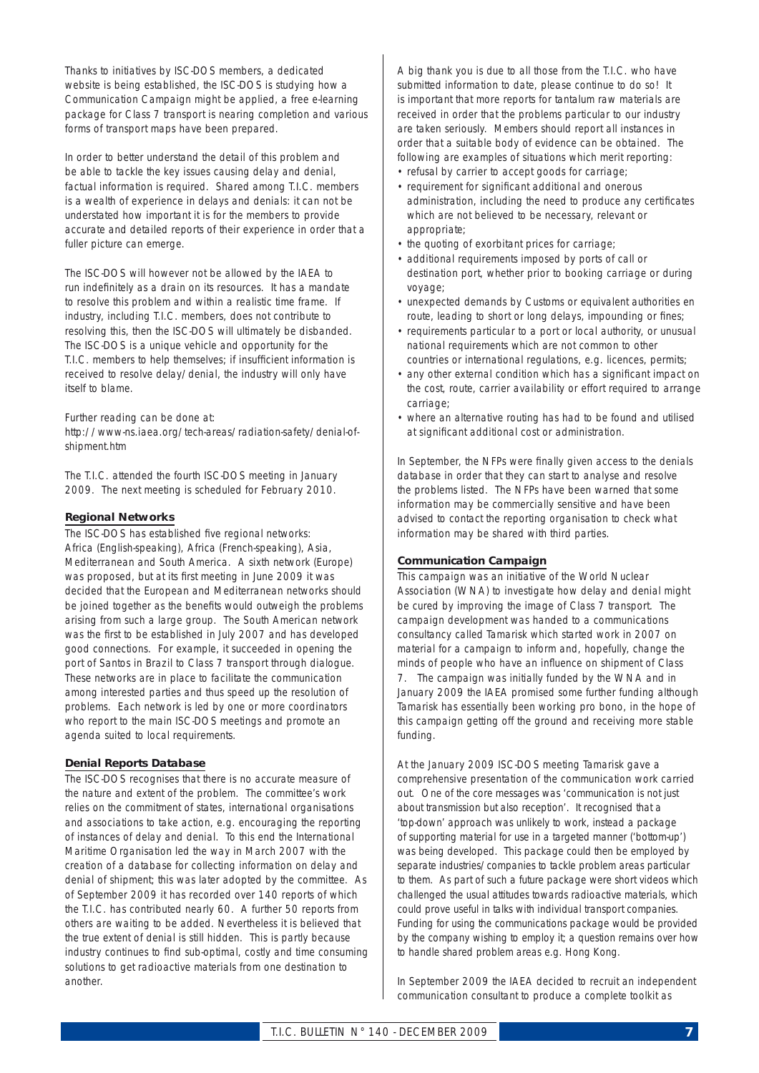Thanks to initiatives by ISC-DOS members, a dedicated website is being established, the ISC-DOS is studying how a Communication Campaign might be applied, a free e-learning package for Class 7 transport is nearing completion and various forms of transport maps have been prepared.

In order to better understand the detail of this problem and be able to tackle the key issues causing delay and denial, factual information is required. Shared among T.I.C. members is a wealth of experience in delays and denials: it can not be understated how important it is for the members to provide accurate and detailed reports of their experience in order that a fuller picture can emerge.

The ISC-DOS will however not be allowed by the IAEA to run indefinitely as a drain on its resources. It has a mandate to resolve this problem and within a realistic time frame. If industry, including T.I.C. members, does not contribute to resolving this, then the ISC-DOS will ultimately be disbanded. The ISC-DOS is a unique vehicle and opportunity for the T.I.C. members to help themselves; if insufficient information is received to resolve delay/denial, the industry will only have itself to blame.

Further reading can be done at:

http://www-ns.iaea.org/tech-areas/radiation-safety/denial-ofshipment.htm

The T.I.C. attended the fourth ISC-DOS meeting in January 2009. The next meeting is scheduled for February 2010.

### **Regional Networks**

The ISC-DOS has established five regional networks: Africa (English-speaking), Africa (French-speaking), Asia, Mediterranean and South America. A sixth network (Europe) was proposed, but at its first meeting in June 2009 it was decided that the European and Mediterranean networks should be joined together as the benefits would outweigh the problems arising from such a large group. The South American network was the first to be established in July 2007 and has developed good connections. For example, it succeeded in opening the port of Santos in Brazil to Class 7 transport through dialogue. These networks are in place to facilitate the communication among interested parties and thus speed up the resolution of problems. Each network is led by one or more coordinators who report to the main ISC-DOS meetings and promote an agenda suited to local requirements.

## **Denial Reports Database**

The ISC-DOS recognises that there is no accurate measure of the nature and extent of the problem. The committee's work relies on the commitment of states, international organisations and associations to take action, e.g. encouraging the reporting of instances of delay and denial. To this end the International Maritime Organisation led the way in March 2007 with the creation of a database for collecting information on delay and denial of shipment; this was later adopted by the committee. As of September 2009 it has recorded over 140 reports of which the T.I.C. has contributed nearly 60. A further 50 reports from others are waiting to be added. Nevertheless it is believed that the true extent of denial is still hidden. This is partly because industry continues to find sub-optimal, costly and time consuming solutions to get radioactive materials from one destination to another.

A big thank you is due to all those from the T.I.C. who have submitted information to date, please continue to do so! It is important that more reports for tantalum raw materials are received in order that the problems particular to our industry are taken seriously. Members should report all instances in order that a suitable body of evidence can be obtained. The following are examples of situations which merit reporting:

- refusal by carrier to accept goods for carriage;
- requirement for significant additional and onerous administration, including the need to produce any certificates which are not believed to be necessary, relevant or appropriate;
- the quoting of exorbitant prices for carriage;
- additional requirements imposed by ports of call or destination port, whether prior to booking carriage or during voyage;
- unexpected demands by Customs or equivalent authorities en route, leading to short or long delays, impounding or fines;
- requirements particular to a port or local authority, or unusual national requirements which are not common to other countries or international regulations, e.g. licences, permits;
- any other external condition which has a significant impact on the cost, route, carrier availability or effort required to arrange carriage;
- where an alternative routing has had to be found and utilised at significant additional cost or administration.

In September, the NFPs were finally given access to the denials database in order that they can start to analyse and resolve the problems listed. The NFPs have been warned that some information may be commercially sensitive and have been advised to contact the reporting organisation to check what information may be shared with third parties.

## **Communication Campaign**

This campaign was an initiative of the World Nuclear Association (WNA) to investigate how delay and denial might be cured by improving the image of Class 7 transport. The campaign development was handed to a communications consultancy called Tamarisk which started work in 2007 on material for a campaign to inform and, hopefully, change the minds of people who have an influence on shipment of Class 7. The campaign was initially funded by the WNA and in January 2009 the IAEA promised some further funding although Tamarisk has essentially been working pro bono, in the hope of this campaign getting off the ground and receiving more stable funding.

At the January 2009 ISC-DOS meeting Tamarisk gave a comprehensive presentation of the communication work carried out. One of the core messages was 'communication is not just about transmission but also reception'. It recognised that a 'top-down' approach was unlikely to work, instead a package of supporting material for use in a targeted manner ('bottom-up') was being developed. This package could then be employed by separate industries/companies to tackle problem areas particular to them. As part of such a future package were short videos which challenged the usual attitudes towards radioactive materials, which could prove useful in talks with individual transport companies. Funding for using the communications package would be provided by the company wishing to employ it; a question remains over how to handle shared problem areas e.g. Hong Kong.

In September 2009 the IAEA decided to recruit an independent communication consultant to produce a complete toolkit as